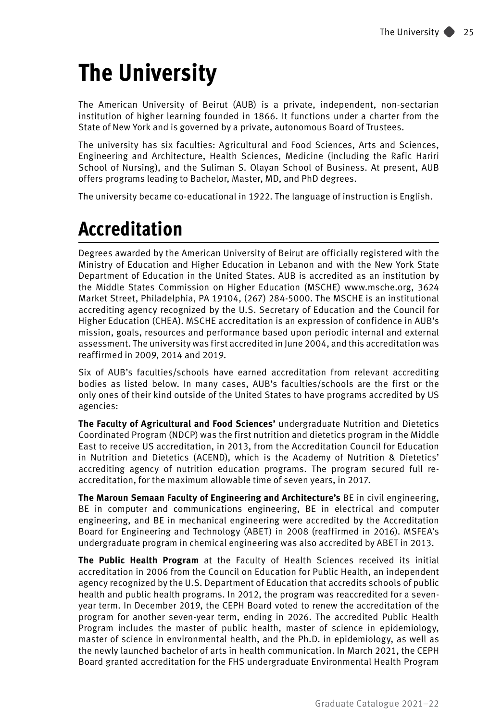# **The University**

The American University of Beirut (AUB) is a private, independent, non-sectarian institution of higher learning founded in 1866. It functions under a charter from the State of New York and is governed by a private, autonomous Board of Trustees.

The university has six faculties: Agricultural and Food Sciences, Arts and Sciences, Engineering and Architecture, Health Sciences, Medicine (including the Rafic Hariri School of Nursing), and the Suliman S. Olayan School of Business. At present, AUB offers programs leading to Bachelor, Master, MD, and PhD degrees.

The university became co-educational in 1922. The language of instruction is English.

# **Accreditation**

Degrees awarded by the American University of Beirut are officially registered with the Ministry of Education and Higher Education in Lebanon and with the New York State Department of Education in the United States. AUB is accredited as an institution by the Middle States Commission on Higher Education (MSCHE) www.msche.org, 3624 Market Street, Philadelphia, PA 19104, (267) 284-5000. The MSCHE is an institutional accrediting agency recognized by the U.S. Secretary of Education and the Council for Higher Education (CHEA). MSCHE accreditation is an expression of confidence in AUB's mission, goals, resources and performance based upon periodic internal and external assessment. The university was first accredited in June 2004, and this accreditation was reaffirmed in 2009, 2014 and 2019.

Six of AUB's faculties/schools have earned accreditation from relevant accrediting bodies as listed below. In many cases, AUB's faculties/schools are the first or the only ones of their kind outside of the United States to have programs accredited by US agencies:

**The Faculty of Agricultural and Food Sciences'** undergraduate Nutrition and Dietetics Coordinated Program (NDCP) was the first nutrition and dietetics program in the Middle East to receive US accreditation, in 2013, from the Accreditation Council for Education in Nutrition and Dietetics (ACEND), which is the Academy of Nutrition & Dietetics' accrediting agency of nutrition education programs. The program secured full reaccreditation, for the maximum allowable time of seven years, in 2017.

**The Maroun Semaan Faculty of Engineering and Architecture's** BE in civil engineering, BE in computer and communications engineering, BE in electrical and computer engineering, and BE in mechanical engineering were accredited by the Accreditation Board for Engineering and Technology (ABET) in 2008 (reaffirmed in 2016). MSFEA's undergraduate program in chemical engineering was also accredited by ABET in 2013.

**The Public Health Program** at the Faculty of Health Sciences received its initial accreditation in 2006 from the Council on Education for Public Health, an independent agency recognized by the U.S. Department of Education that accredits schools of public health and public health programs. In 2012, the program was reaccredited for a sevenyear term. In December 2019, the CEPH Board voted to renew the accreditation of the program for another seven-year term, ending in 2026. The accredited Public Health Program includes the master of public health, master of science in epidemiology, master of science in environmental health, and the Ph.D. in epidemiology, as well as the newly launched bachelor of arts in health communication. In March 2021, the CEPH Board granted accreditation for the FHS undergraduate Environmental Health Program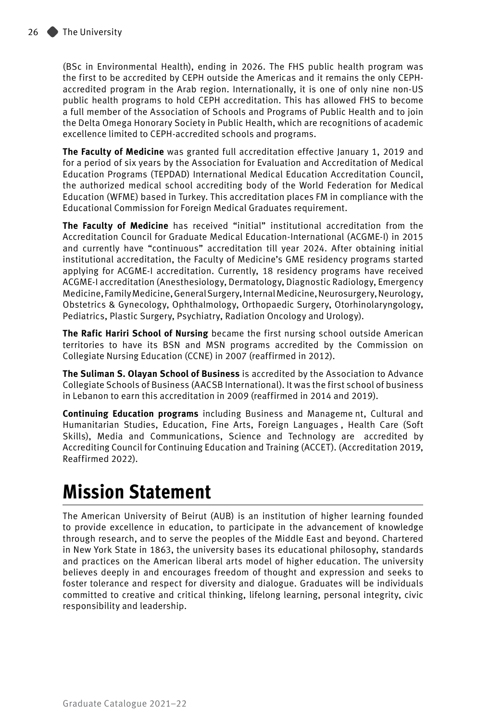(BSc in Environmental Health), ending in 2026. The FHS public health program was the first to be accredited by CEPH outside the Americas and it remains the only CEPHaccredited program in the Arab region. Internationally, it is one of only nine non-US public health programs to hold CEPH accreditation. This has allowed FHS to become a full member of the Association of Schools and Programs of Public Health and to join the Delta Omega Honorary Society in Public Health, which are recognitions of academic excellence limited to CEPH-accredited schools and programs.

**The Faculty of Medicine** was granted full accreditation effective January 1, 2019 and for a period of six years by the Association for Evaluation and Accreditation of Medical Education Programs (TEPDAD) International Medical Education Accreditation Council, the authorized medical school accrediting body of the World Federation for Medical Education (WFME) based in Turkey. This accreditation places FM in compliance with the Educational Commission for Foreign Medical Graduates requirement.

**The Faculty of Medicine** has received "initial" institutional accreditation from the Accreditation Council for Graduate Medical Education-International (ACGME-I) in 2015 and currently have "continuous" accreditation till year 2024. After obtaining initial institutional accreditation, the Faculty of Medicine's GME residency programs started applying for ACGME-I accreditation. Currently, 18 residency programs have received ACGME-I accreditation (Anesthesiology, Dermatology, Diagnostic Radiology, Emergency Medicine, Family Medicine, General Surgery, Internal Medicine, Neurosurgery, Neurology, Obstetrics & Gynecology, Ophthalmology, Orthopaedic Surgery, Otorhinolaryngology, Pediatrics, Plastic Surgery, Psychiatry, Radiation Oncology and Urology).

**The Rafic Hariri School of Nursing** became the first nursing school outside American territories to have its BSN and MSN programs accredited by the Commission on Collegiate Nursing Education (CCNE) in 2007 (reaffirmed in 2012).

**The Suliman S. Olayan School of Business** is accredited by the Association to Advance Collegiate Schools of Business (AACSB International). It was the first school of business in Lebanon to earn this accreditation in 2009 (reaffirmed in 2014 and 2019).

**Continuing Education programs** including Business and Manageme nt, Cultural and Humanitarian Studies, Education, Fine Arts, Foreign Languages , Health Care (Soft Skills), Media and Communications, Science and Technology are accredited by Accrediting Council for Continuing Education and Training (ACCET). (Accreditation 2019, Reaffirmed 2022).

# **Mission Statement**

The American University of Beirut (AUB) is an institution of higher learning founded to provide excellence in education, to participate in the advancement of knowledge through research, and to serve the peoples of the Middle East and beyond. Chartered in New York State in 1863, the university bases its educational philosophy, standards and practices on the American liberal arts model of higher education. The university believes deeply in and encourages freedom of thought and expression and seeks to foster tolerance and respect for diversity and dialogue. Graduates will be individuals committed to creative and critical thinking, lifelong learning, personal integrity, civic responsibility and leadership.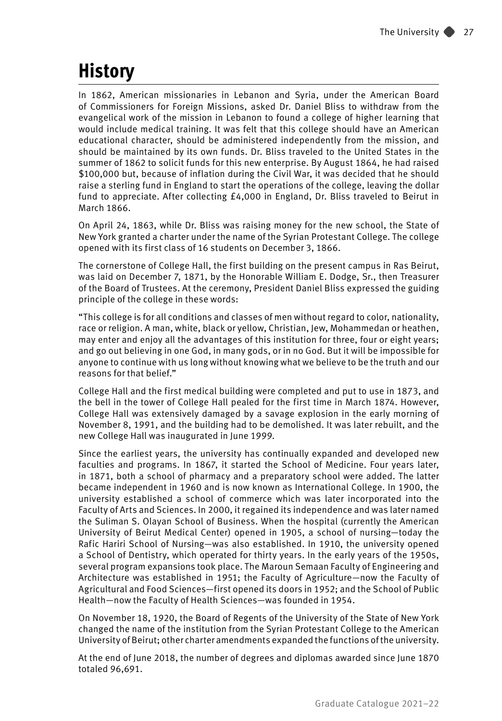# **History**

In 1862, American missionaries in Lebanon and Syria, under the American Board of Commissioners for Foreign Missions, asked Dr. Daniel Bliss to withdraw from the evangelical work of the mission in Lebanon to found a college of higher learning that would include medical training. It was felt that this college should have an American educational character, should be administered independently from the mission, and should be maintained by its own funds. Dr. Bliss traveled to the United States in the summer of 1862 to solicit funds for this new enterprise. By August 1864, he had raised \$100,000 but, because of inflation during the Civil War, it was decided that he should raise a sterling fund in England to start the operations of the college, leaving the dollar fund to appreciate. After collecting £4,000 in England, Dr. Bliss traveled to Beirut in March 1866.

On April 24, 1863, while Dr. Bliss was raising money for the new school, the State of New York granted a charter under the name of the Syrian Protestant College. The college opened with its first class of 16 students on December 3, 1866.

The cornerstone of College Hall, the first building on the present campus in Ras Beirut, was laid on December 7, 1871, by the Honorable William E. Dodge, Sr., then Treasurer of the Board of Trustees. At the ceremony, President Daniel Bliss expressed the guiding principle of the college in these words:

"This college is for all conditions and classes of men without regard to color, nationality, race or religion. A man, white, black or yellow, Christian, Jew, Mohammedan or heathen, may enter and enjoy all the advantages of this institution for three, four or eight years; and go out believing in one God, in many gods, or in no God. But it will be impossible for anyone to continue with us long without knowing what we believe to be the truth and our reasons for that belief."

College Hall and the first medical building were completed and put to use in 1873, and the bell in the tower of College Hall pealed for the first time in March 1874. However, College Hall was extensively damaged by a savage explosion in the early morning of November 8, 1991, and the building had to be demolished. It was later rebuilt, and the new College Hall was inaugurated in June 1999.

Since the earliest years, the university has continually expanded and developed new faculties and programs. In 1867, it started the School of Medicine. Four years later, in 1871, both a school of pharmacy and a preparatory school were added. The latter became independent in 1960 and is now known as International College. In 1900, the university established a school of commerce which was later incorporated into the Faculty of Arts and Sciences. In 2000, it regained its independence and was later named the Suliman S. Olayan School of Business. When the hospital (currently the American University of Beirut Medical Center) opened in 1905, a school of nursing—today the Rafic Hariri School of Nursing—was also established. In 1910, the university opened a School of Dentistry, which operated for thirty years. In the early years of the 1950s, several program expansions took place. The Maroun Semaan Faculty of Engineering and Architecture was established in 1951; the Faculty of Agriculture—now the Faculty of Agricultural and Food Sciences—first opened its doors in 1952; and the School of Public Health—now the Faculty of Health Sciences—was founded in 1954.

On November 18, 1920, the Board of Regents of the University of the State of New York changed the name of the institution from the Syrian Protestant College to the American University of Beirut; other charter amendments expanded the functions of the university.

At the end of June 2018, the number of degrees and diplomas awarded since June 1870 totaled 96,691.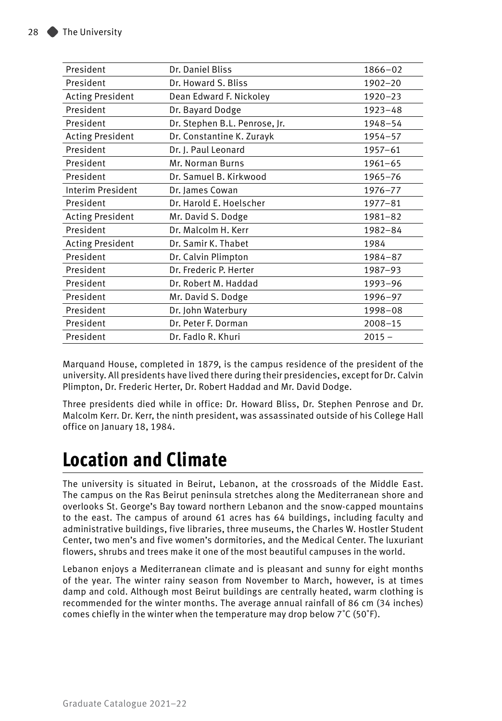| President               | Dr. Daniel Bliss              | $1866 - 02$ |
|-------------------------|-------------------------------|-------------|
| President               | Dr. Howard S. Bliss           | 1902-20     |
| <b>Acting President</b> | Dean Edward F. Nickoley       | $1920 - 23$ |
| President               | Dr. Bayard Dodge              | $1923 - 48$ |
| President               | Dr. Stephen B.L. Penrose, Jr. | 1948-54     |
| <b>Acting President</b> | Dr. Constantine K. Zurayk     | $1954 - 57$ |
| President               | Dr. J. Paul Leonard           | $1957 - 61$ |
| President               | Mr. Norman Burns              | $1961 - 65$ |
| President               | Dr. Samuel B. Kirkwood        | $1965 - 76$ |
| Interim President       | Dr. James Cowan               | 1976-77     |
| President               | Dr. Harold E. Hoelscher       | $1977 - 81$ |
| <b>Acting President</b> | Mr. David S. Dodge            | $1981 - 82$ |
| President               | Dr. Malcolm H. Kerr           | 1982-84     |
| <b>Acting President</b> | Dr. Samir K. Thabet           | 1984        |
| President               | Dr. Calvin Plimpton           | 1984-87     |
| President               | Dr. Frederic P. Herter        | 1987-93     |
| President               | Dr. Robert M. Haddad          | 1993-96     |
| President               | Mr. David S. Dodge            | 1996-97     |
| President               | Dr. John Waterbury            | 1998-08     |
| President               | Dr. Peter F. Dorman           | $2008 - 15$ |
| President               | Dr. Fadlo R. Khuri            | $2015 -$    |

Marquand House, completed in 1879, is the campus residence of the president of the university. All presidents have lived there during their presidencies, except for Dr. Calvin Plimpton, Dr. Frederic Herter, Dr. Robert Haddad and Mr. David Dodge.

Three presidents died while in office: Dr. Howard Bliss, Dr. Stephen Penrose and Dr. Malcolm Kerr. Dr. Kerr, the ninth president, was assassinated outside of his College Hall office on January 18, 1984.

# **Location and Climate**

The university is situated in Beirut, Lebanon, at the crossroads of the Middle East. The campus on the Ras Beirut peninsula stretches along the Mediterranean shore and overlooks St. George's Bay toward northern Lebanon and the snow-capped mountains to the east. The campus of around 61 acres has 64 buildings, including faculty and administrative buildings, five libraries, three museums, the Charles W. Hostler Student Center, two men's and five women's dormitories, and the Medical Center. The luxuriant flowers, shrubs and trees make it one of the most beautiful campuses in the world.

Lebanon enjoys a Mediterranean climate and is pleasant and sunny for eight months of the year. The winter rainy season from November to March, however, is at times damp and cold. Although most Beirut buildings are centrally heated, warm clothing is recommended for the winter months. The average annual rainfall of 86 cm (34 inches) comes chiefly in the winter when the temperature may drop below 7˚C (50˚F).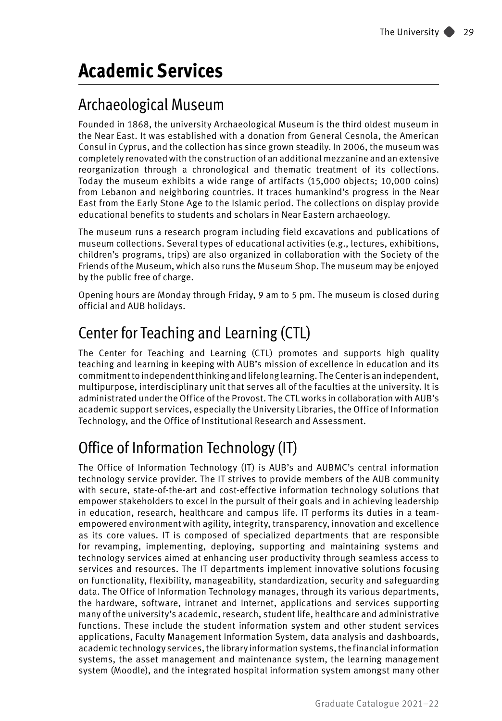# **Academic Services**

### Archaeological Museum

Founded in 1868, the university Archaeological Museum is the third oldest museum in the Near East. It was established with a donation from General Cesnola, the American Consul in Cyprus, and the collection has since grown steadily. In 2006, the museum was completely renovated with the construction of an additional mezzanine and an extensive reorganization through a chronological and thematic treatment of its collections. Today the museum exhibits a wide range of artifacts (15,000 objects; 10,000 coins) from Lebanon and neighboring countries. It traces humankind's progress in the Near East from the Early Stone Age to the Islamic period. The collections on display provide educational benefits to students and scholars in Near Eastern archaeology.

The museum runs a research program including field excavations and publications of museum collections. Several types of educational activities (e.g., lectures, exhibitions, children's programs, trips) are also organized in collaboration with the Society of the Friends of the Museum, which also runs the Museum Shop. The museum may be enjoyed by the public free of charge.

Opening hours are Monday through Friday, 9 am to 5 pm. The museum is closed during official and AUB holidays.

## Center for Teaching and Learning (CTL)

The Center for Teaching and Learning (CTL) promotes and supports high quality teaching and learning in keeping with AUB's mission of excellence in education and its commitment to independent thinking and lifelong learning. The Center is an independent, multipurpose, interdisciplinary unit that serves all of the faculties at the university. It is administrated under the Office of the Provost. The CTL works in collaboration with AUB's academic support services, especially the University Libraries, the Office of Information Technology, and the Office of Institutional Research and Assessment.

# Office of Information Technology (IT)

The Office of Information Technology (IT) is AUB's and AUBMC's central information technology service provider. The IT strives to provide members of the AUB community with secure, state-of-the-art and cost-effective information technology solutions that empower stakeholders to excel in the pursuit of their goals and in achieving leadership in education, research, healthcare and campus life. IT performs its duties in a teamempowered environment with agility, integrity, transparency, innovation and excellence as its core values. IT is composed of specialized departments that are responsible for revamping, implementing, deploying, supporting and maintaining systems and technology services aimed at enhancing user productivity through seamless access to services and resources. The IT departments implement innovative solutions focusing on functionality, flexibility, manageability, standardization, security and safeguarding data. The Office of Information Technology manages, through its various departments, the hardware, software, intranet and Internet, applications and services supporting many of the university's academic, research, student life, healthcare and administrative functions. These include the student information system and other student services applications, Faculty Management Information System, data analysis and dashboards, academic technology services, the library information systems, the financial information systems, the asset management and maintenance system, the learning management system (Moodle), and the integrated hospital information system amongst many other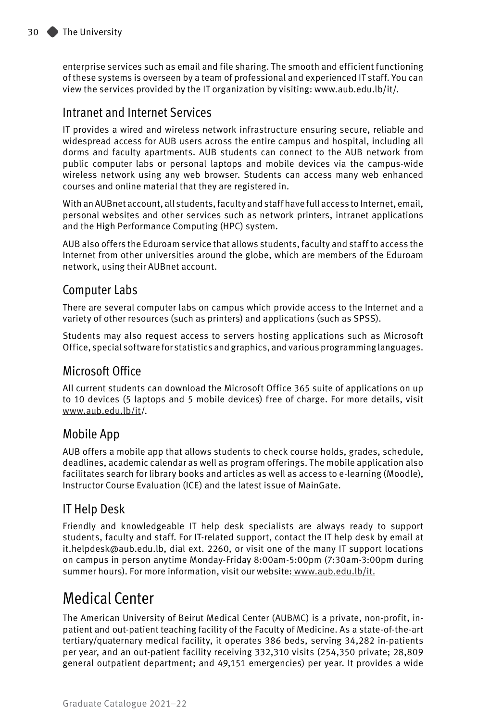enterprise services such as email and file sharing. The smooth and efficient functioning of these systems is overseen by a team of professional and experienced IT staff. You can view the services provided by the IT organization by visiting: www.aub.edu.lb/it/.

#### Intranet and Internet Services

IT provides a wired and wireless network infrastructure ensuring secure, reliable and widespread access for AUB users across the entire campus and hospital, including all dorms and faculty apartments. AUB students can connect to the AUB network from public computer labs or personal laptops and mobile devices via the campus-wide wireless network using any web browser. Students can access many web enhanced courses and online material that they are registered in.

With an AUBnet account, all students, faculty and staff have full access to Internet, email, personal websites and other services such as network printers, intranet applications and the High Performance Computing (HPC) system.

AUB also offers the Eduroam service that allows students, faculty and staff to access the Internet from other universities around the globe, which are members of the Eduroam network, using their AUBnet account.

#### Computer Labs

There are several computer labs on campus which provide access to the Internet and a variety of other resources (such as printers) and applications (such as SPSS).

Students may also request access to servers hosting applications such as Microsoft Office, special software for statistics and graphics, and various programming languages.

#### Microsoft Office

All current students can download the Microsoft Office 365 suite of applications on up to 10 devices (5 laptops and 5 mobile devices) free of charge. For more details, visit www.aub.edu.lb/it/.

#### Mobile App

AUB offers a mobile app that allows students to check course holds, grades, schedule, deadlines, academic calendar as well as program offerings. The mobile application also facilitates search for library books and articles as well as access to e-learning (Moodle), Instructor Course Evaluation (ICE) and the latest issue of MainGate.

#### IT Help Desk

Friendly and knowledgeable IT help desk specialists are always ready to support students, faculty and staff. For IT-related support, contact the IT help desk by email at it.helpdesk@aub.edu.lb, dial ext. 2260, or visit one of the many IT support locations on campus in person anytime Monday-Friday 8:00am-5:00pm (7:30am-3:00pm during summer hours). For more information, visit our website: www.aub.edu.lb/it.

### Medical Center

The American University of Beirut Medical Center (AUBMC) is a private, non-profit, inpatient and out-patient teaching facility of the Faculty of Medicine. As a state-of-the-art tertiary/quaternary medical facility, it operates 386 beds, serving 34,282 in-patients per year, and an out-patient facility receiving 332,310 visits (254,350 private; 28,809 general outpatient department; and 49,151 emergencies) per year. It provides a wide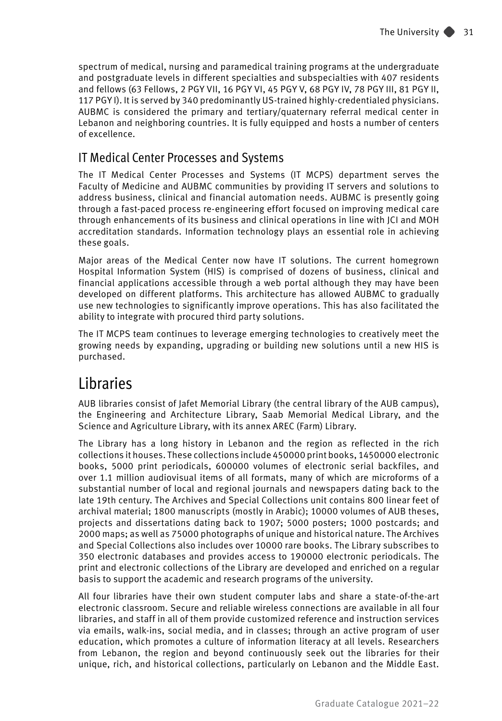spectrum of medical, nursing and paramedical training programs at the undergraduate and postgraduate levels in different specialties and subspecialties with 407 residents and fellows (63 Fellows, 2 PGY VII, 16 PGY VI, 45 PGY V, 68 PGY IV, 78 PGY III, 81 PGY II, 117 PGY I). It is served by 340 predominantly US-trained highly-credentialed physicians. AUBMC is considered the primary and tertiary/quaternary referral medical center in Lebanon and neighboring countries. It is fully equipped and hosts a number of centers of excellence.

#### IT Medical Center Processes and Systems

The IT Medical Center Processes and Systems (IT MCPS) department serves the Faculty of Medicine and AUBMC communities by providing IT servers and solutions to address business, clinical and financial automation needs. AUBMC is presently going through a fast-paced process re-engineering effort focused on improving medical care through enhancements of its business and clinical operations in line with JCI and MOH accreditation standards. Information technology plays an essential role in achieving these goals.

Major areas of the Medical Center now have IT solutions. The current homegrown Hospital Information System (HIS) is comprised of dozens of business, clinical and financial applications accessible through a web portal although they may have been developed on different platforms. This architecture has allowed AUBMC to gradually use new technologies to significantly improve operations. This has also facilitated the ability to integrate with procured third party solutions.

The IT MCPS team continues to leverage emerging technologies to creatively meet the growing needs by expanding, upgrading or building new solutions until a new HIS is purchased.

### Libraries

AUB libraries consist of Jafet Memorial Library (the central library of the AUB campus), the Engineering and Architecture Library, Saab Memorial Medical Library, and the Science and Agriculture Library, with its annex AREC (Farm) Library.

The Library has a long history in Lebanon and the region as reflected in the rich collections it houses. These collections include 450000 print books, 1450000 electronic books, 5000 print periodicals, 600000 volumes of electronic serial backfiles, and over 1.1 million audiovisual items of all formats, many of which are microforms of a substantial number of local and regional journals and newspapers dating back to the late 19th century. The Archives and Special Collections unit contains 800 linear feet of archival material; 1800 manuscripts (mostly in Arabic); 10000 volumes of AUB theses, projects and dissertations dating back to 1907; 5000 posters; 1000 postcards; and 2000 maps; as well as 75000 photographs of unique and historical nature. The Archives and Special Collections also includes over 10000 rare books. The Library subscribes to 350 electronic databases and provides access to 190000 electronic periodicals. The print and electronic collections of the Library are developed and enriched on a regular basis to support the academic and research programs of the university.

All four libraries have their own student computer labs and share a state-of-the-art electronic classroom. Secure and reliable wireless connections are available in all four libraries, and staff in all of them provide customized reference and instruction services via emails, walk-ins, social media, and in classes; through an active program of user education, which promotes a culture of information literacy at all levels. Researchers from Lebanon, the region and beyond continuously seek out the libraries for their unique, rich, and historical collections, particularly on Lebanon and the Middle East.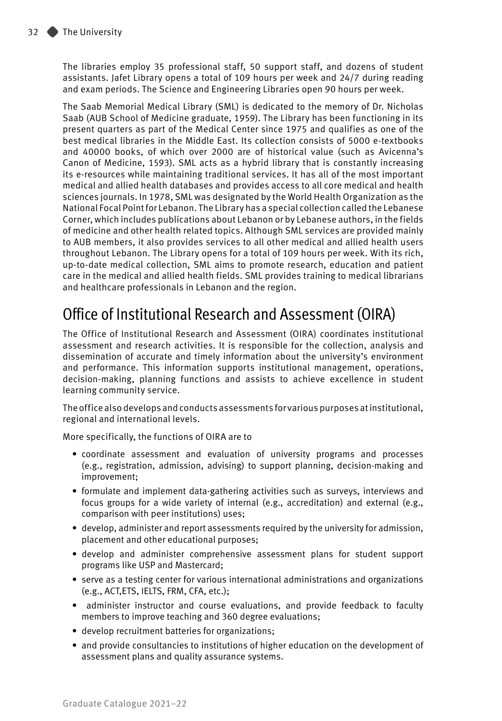The libraries employ 35 professional staff, 50 support staff, and dozens of student assistants. Jafet Library opens a total of 109 hours per week and 24/7 during reading and exam periods. The Science and Engineering Libraries open 90 hours per week.

The Saab Memorial Medical Library (SML) is dedicated to the memory of Dr. Nicholas Saab (AUB School of Medicine graduate, 1959). The Library has been functioning in its present quarters as part of the Medical Center since 1975 and qualifies as one of the best medical libraries in the Middle East. Its collection consists of 5000 e-textbooks and 40000 books, of which over 2000 are of historical value (such as Avicenna's Canon of Medicine, 1593). SML acts as a hybrid library that is constantly increasing its e-resources while maintaining traditional services. It has all of the most important medical and allied health databases and provides access to all core medical and health sciences journals. In 1978, SML was designated by the World Health Organization as the National Focal Point for Lebanon. The Library has a special collection called the Lebanese Corner, which includes publications about Lebanon or by Lebanese authors, in the fields of medicine and other health related topics. Although SML services are provided mainly to AUB members, it also provides services to all other medical and allied health users throughout Lebanon. The Library opens for a total of 109 hours per week. With its rich, up-to-date medical collection, SML aims to promote research, education and patient care in the medical and allied health fields. SML provides training to medical librarians and healthcare professionals in Lebanon and the region.

### Office of Institutional Research and Assessment (OIRA)

The Office of Institutional Research and Assessment (OIRA) coordinates institutional assessment and research activities. It is responsible for the collection, analysis and dissemination of accurate and timely information about the university's environment and performance. This information supports institutional management, operations, decision-making, planning functions and assists to achieve excellence in student learning community service.

The office also develops and conducts assessments for various purposes at institutional, regional and international levels.

More specifically, the functions of OIRA are to

- coordinate assessment and evaluation of university programs and processes (e.g., registration, admission, advising) to support planning, decision-making and improvement;
- formulate and implement data-gathering activities such as surveys, interviews and focus groups for a wide variety of internal (e.g., accreditation) and external (e.g., comparison with peer institutions) uses;
- develop, administer and report assessments required by the university for admission, placement and other educational purposes;
- develop and administer comprehensive assessment plans for student support programs like USP and Mastercard;
- serve as a testing center for various international administrations and organizations (e.g., ACT,ETS, IELTS, FRM, CFA, etc.);
- administer instructor and course evaluations, and provide feedback to faculty members to improve teaching and 360 degree evaluations;
- develop recruitment batteries for organizations;
- and provide consultancies to institutions of higher education on the development of assessment plans and quality assurance systems.